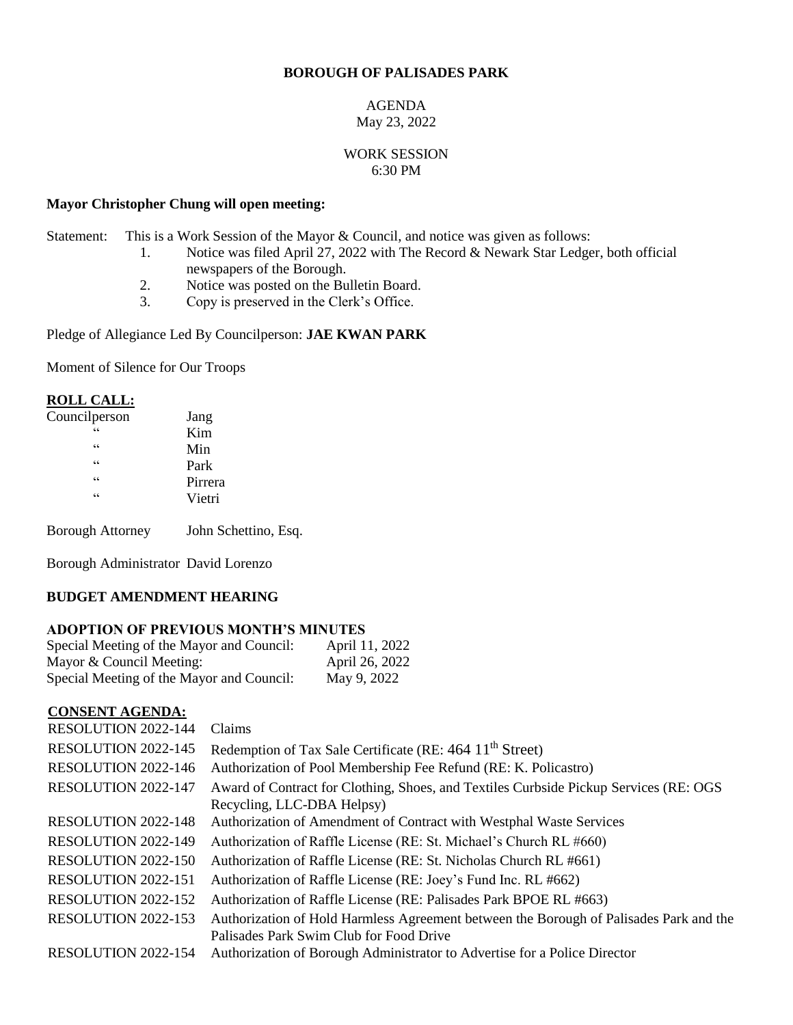# **BOROUGH OF PALISADES PARK**

#### AGENDA May 23, 2022

### WORK SESSION 6:30 PM

### **Mayor Christopher Chung will open meeting:**

Statement: This is a Work Session of the Mayor & Council, and notice was given as follows:

- 1. Notice was filed April 27, 2022 with The Record & Newark Star Ledger, both official newspapers of the Borough.
- 2. Notice was posted on the Bulletin Board.
- 3. Copy is preserved in the Clerk's Office.

### Pledge of Allegiance Led By Councilperson: **JAE KWAN PARK**

Moment of Silence for Our Troops

# **ROLL CALL:**<br>Councilperson

| Councilperson           | Jang    |  |
|-------------------------|---------|--|
| 66                      | Kim     |  |
| $\zeta$ $\zeta$         | Min     |  |
| $\subseteq$ $\subseteq$ | Park    |  |
| $\zeta$ $\zeta$         | Pirrera |  |
| $\subseteq$ $\subseteq$ | Vietri  |  |
|                         |         |  |

Borough Attorney John Schettino, Esq.

Borough Administrator David Lorenzo

## **BUDGET AMENDMENT HEARING**

## **ADOPTION OF PREVIOUS MONTH'S MINUTES**

| Special Meeting of the Mayor and Council: | April 11, 2022 |
|-------------------------------------------|----------------|
| Mayor & Council Meeting:                  | April 26, 2022 |
| Special Meeting of the Mayor and Council: | May 9, 2022    |

## **CONSENT AGENDA:**

| <b>RESOLUTION 2022-144</b> | Claims                                                                                 |
|----------------------------|----------------------------------------------------------------------------------------|
| RESOLUTION 2022-145        | Redemption of Tax Sale Certificate (RE: 464 11 <sup>th</sup> Street)                   |
| RESOLUTION 2022-146        | Authorization of Pool Membership Fee Refund (RE: K. Policastro)                        |
| RESOLUTION 2022-147        | Award of Contract for Clothing, Shoes, and Textiles Curbside Pickup Services (RE: OGS) |
|                            | Recycling, LLC-DBA Helpsy)                                                             |
| <b>RESOLUTION 2022-148</b> | Authorization of Amendment of Contract with Westphal Waste Services                    |
| RESOLUTION 2022-149        | Authorization of Raffle License (RE: St. Michael's Church RL #660)                     |
| RESOLUTION 2022-150        | Authorization of Raffle License (RE: St. Nicholas Church RL #661)                      |
| RESOLUTION 2022-151        | Authorization of Raffle License (RE: Joey's Fund Inc. RL #662)                         |
| <b>RESOLUTION 2022-152</b> | Authorization of Raffle License (RE: Palisades Park BPOE RL #663)                      |
| RESOLUTION 2022-153        | Authorization of Hold Harmless Agreement between the Borough of Palisades Park and the |
|                            | Palisades Park Swim Club for Food Drive                                                |
| RESOLUTION 2022-154        | Authorization of Borough Administrator to Advertise for a Police Director              |